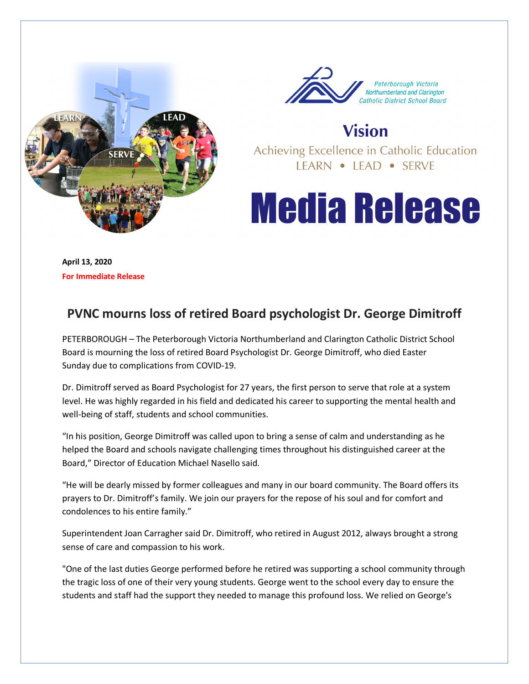



**Vision** 

Achieving Excellence in Catholic Education LEARN • LEAD • SERVE

## **Media Release**

**April 13, 2020 For Immediate Release** 

## **PVNC mourns loss of retired Board psychologist Dr. George Dimitroff**

PETERBOROUGH – The Peterborough Victoria Northumberland and Clarington Catholic District School Board is mourning the loss of retired Board Psychologist Dr. George Dimitroff, who died Easter Sunday due to complications from COVID-19.

Dr. Dimitroff served as Board Psychologist for 27 years, the first person to serve that role at a system level. He was highly regarded in his field and dedicated his career to supporting the mental health and well-being of staff, students and school communities.

"In his position, George Dimitroff was called upon to bring a sense of calm and understanding as he helped the Board and schools navigate challenging times throughout his distinguished career at the Board," Director of Education Michael Nasello said.

"He will be dearly missed by former colleagues and many in our board community. The Board offers its prayers to Dr. Dimitroff's family. We join our prayers for the repose of his soul and for comfort and condolences to his entire family."

Superintendent Joan Carragher said Dr. Dimitroff, who retired in August 2012, always brought a strong sense of care and compassion to his work.

"One of the last duties George performed before he retired was supporting a school community through the tragic loss of one of their very young students. George went to the school every day to ensure the students and staff had the support they needed to manage this profound loss. We relied on George's